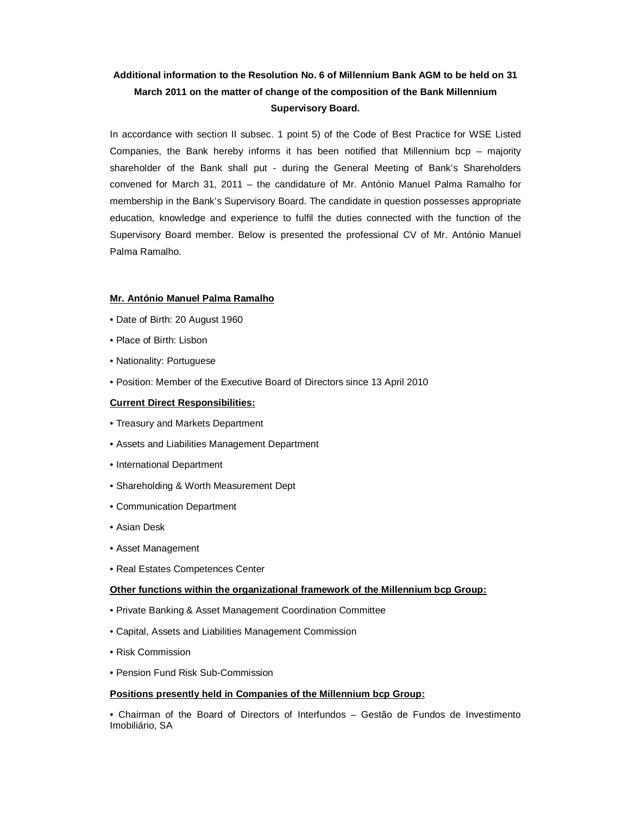# **Additional information to the Resolution No. 6 of Millennium Bank AGM to be held on 31 March 2011 on the matter of change of the composition of the Bank Millennium Supervisory Board.**

In accordance with section II subsec. 1 point 5) of the Code of Best Practice for WSE Listed Companies, the Bank hereby informs it has been notified that Millennium  $bcp -$  majority shareholder of the Bank shall put - during the General Meeting of Bank's Shareholders convened for March 31, 2011 – the candidature of Mr. António Manuel Palma Ramalho for membership in the Bank's Supervisory Board. The candidate in question possesses appropriate education, knowledge and experience to fulfil the duties connected with the function of the Supervisory Board member. Below is presented the professional CV of Mr. António Manuel Palma Ramalho.

### **Mr. António Manuel Palma Ramalho**

- Date of Birth: 20 August 1960
- Place of Birth: Lisbon
- Nationality: Portuguese
- Position: Member of the Executive Board of Directors since 13 April 2010

## **Current Direct Responsibilities:**

- Treasury and Markets Department
- Assets and Liabilities Management Department
- International Department
- Shareholding & Worth Measurement Dept
- Communication Department
- Asian Desk
- Asset Management
- Real Estates Competences Center

### **Other functions within the organizational framework of the Millennium bcp Group:**

- Private Banking & Asset Management Coordination Committee
- Capital, Assets and Liabilities Management Commission
- Risk Commission
- Pension Fund Risk Sub-Commission

### **Positions presently held in Companies of the Millennium bcp Group:**

• Chairman of the Board of Directors of Interfundos – Gestão de Fundos de Investimento Imobiliário, SA